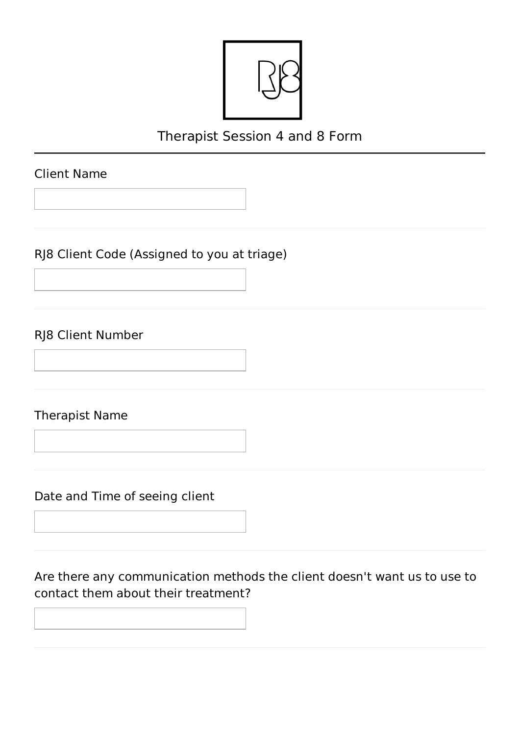

# Therapist Session 4 and 8 Form

## Client Name

RJ8 Client Code (Assigned to you at triage)

### RJ8 Client Number

Therapist Name

Date and Time of seeing client

Are there any communication methods the client doesn't want us to use to contact them about their treatment?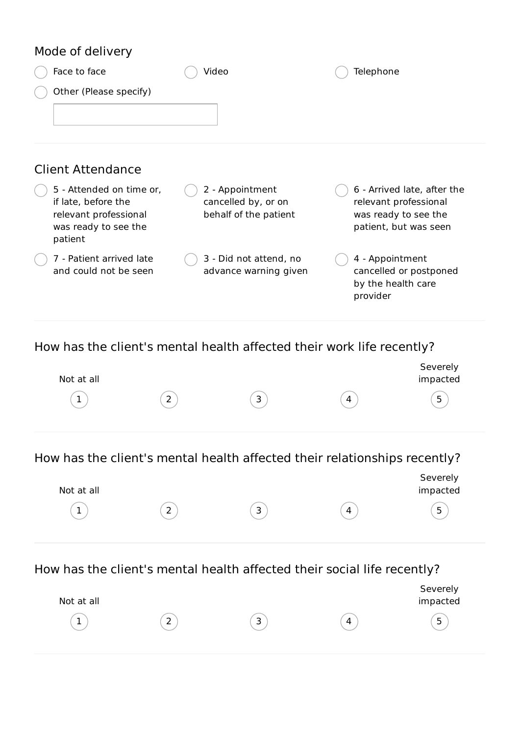### Mode of delivery

Not at all

| Face to face                                                                                                | Video                                                           |          | Telephone                                                                                             |
|-------------------------------------------------------------------------------------------------------------|-----------------------------------------------------------------|----------|-------------------------------------------------------------------------------------------------------|
| Other (Please specify)                                                                                      |                                                                 |          |                                                                                                       |
| <b>Client Attendance</b>                                                                                    |                                                                 |          |                                                                                                       |
| 5 - Attended on time or,<br>if late, before the<br>relevant professional<br>was ready to see the<br>patient | 2 - Appointment<br>cancelled by, or on<br>behalf of the patient |          | 6 - Arrived late, after the<br>relevant professional<br>was ready to see the<br>patient, but was seen |
| 7 - Patient arrived late<br>and could not be seen                                                           | 3 - Did not attend, no<br>advance warning given                 | provider | 4 - Appointment<br>cancelled or postponed<br>by the health care                                       |
| How has the client's mental health affected their work life recently?                                       |                                                                 |          |                                                                                                       |
| Not at all                                                                                                  |                                                                 |          | Severely<br>impacted                                                                                  |
| $\overline{2}$<br>1                                                                                         | 3                                                               | 4        | 5                                                                                                     |
| How has the client's mental health affected their relationships recently?                                   |                                                                 |          |                                                                                                       |
| Not at all                                                                                                  |                                                                 |          | Severely<br>impacted                                                                                  |

 $(1)$   $(2)$   $(3)$   $(4)$   $(5)$ 

 $(1)$   $(2)$   $(3)$   $(4)$   $(5)$ 

Severely impacted

How has the client's mental health affected their social life recently?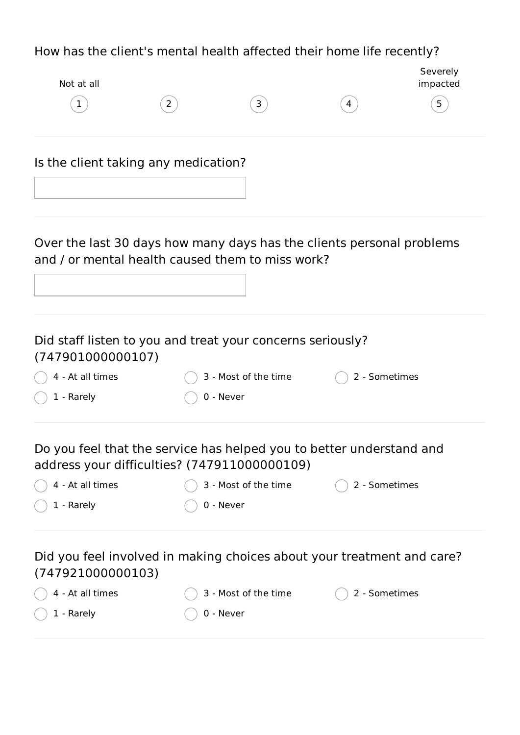## How has the client's mental health affected their home life recently?

| Not at all                           |                                                                                                                           |               | Severely<br>impacted |
|--------------------------------------|---------------------------------------------------------------------------------------------------------------------------|---------------|----------------------|
| $\mathbf{1}$                         | $\mathbf{3}$<br>$\overline{2}$                                                                                            | 4             | 5                    |
| Is the client taking any medication? |                                                                                                                           |               |                      |
|                                      |                                                                                                                           |               |                      |
|                                      | Over the last 30 days how many days has the clients personal problems<br>and / or mental health caused them to miss work? |               |                      |
|                                      |                                                                                                                           |               |                      |
| (747901000000107)                    | Did staff listen to you and treat your concerns seriously?                                                                |               |                      |
| 4 - At all times                     | 3 - Most of the time                                                                                                      | 2 - Sometimes |                      |
| 1 - Rarely                           | 0 - Never                                                                                                                 |               |                      |
|                                      | Do you feel that the service has helped you to better understand and<br>address your difficulties? (747911000000109)      |               |                      |
| 4 - At all times                     | 3 - Most of the time                                                                                                      | 2 - Sometimes |                      |
| 1 - Rarely                           | 0 - Never                                                                                                                 |               |                      |
| (747921000000103)                    | Did you feel involved in making choices about your treatment and care?                                                    |               |                      |
| 4 - At all times                     | 3 - Most of the time                                                                                                      | 2 - Sometimes |                      |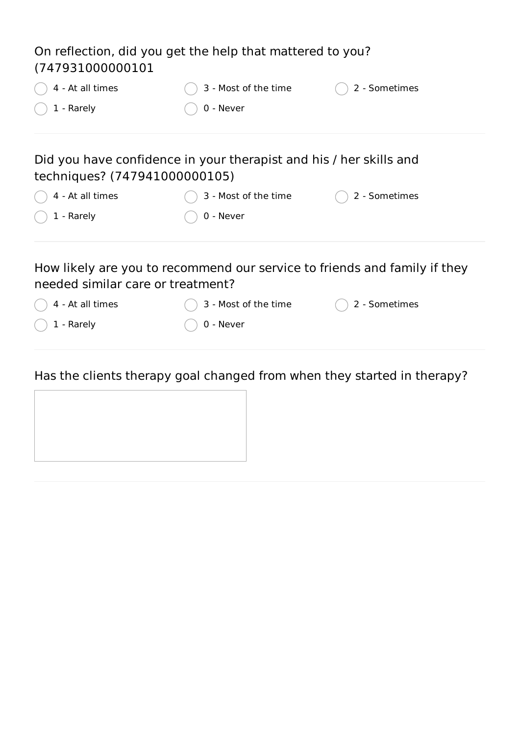| On reflection, did you get the help that mattered to you?<br>(747931000000101                                  |                      |               |  |  |  |
|----------------------------------------------------------------------------------------------------------------|----------------------|---------------|--|--|--|
| 4 - At all times                                                                                               | 3 - Most of the time | 2 - Sometimes |  |  |  |
| 1 - Rarely                                                                                                     | 0 - Never            |               |  |  |  |
| Did you have confidence in your therapist and his / her skills and<br>techniques? (747941000000105)            |                      |               |  |  |  |
| 4 - At all times                                                                                               | 3 - Most of the time | 2 - Sometimes |  |  |  |
| 1 - Rarely                                                                                                     | 0 - Never            |               |  |  |  |
| How likely are you to recommend our service to friends and family if they<br>needed similar care or treatment? |                      |               |  |  |  |
| 4 - At all times                                                                                               | 3 - Most of the time | 2 - Sometimes |  |  |  |
| 1 - Rarely                                                                                                     | 0 - Never            |               |  |  |  |

Has the clients therapy goal changed from when they started in therapy?

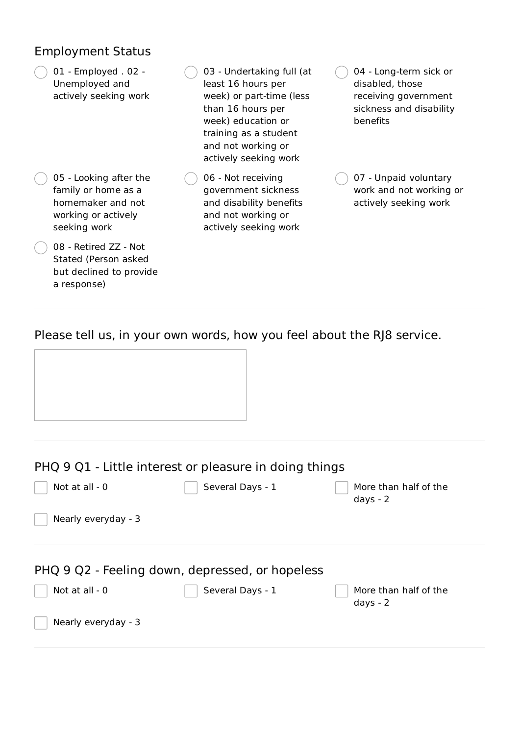#### Employment Status

01 - Employed . 02 - Unemployed and actively seeking work

- 05 Looking after the family or home as a homemaker and not working or actively seeking work
- 08 Retired ZZ Not Stated (Person asked but declined to provide a response)
- 03 Undertaking full (at least 16 hours per week) or part-time (less than 16 hours per week) education or training as a student and not working or actively seeking work
- 06 Not receiving government sickness and disability benefits and not working or actively seeking work

04 - Long-term sick or disabled, those receiving government sickness and disability benefits

07 - Unpaid voluntary work and not working or actively seeking work

#### Please tell us, in your own words, how you feel about the RJ8 service.

| Not at all - 0      | Several Days - 1                                | More than half of the               |
|---------------------|-------------------------------------------------|-------------------------------------|
|                     |                                                 | days - $2$                          |
| Nearly everyday - 3 |                                                 |                                     |
|                     |                                                 |                                     |
|                     | PHQ 9 Q2 - Feeling down, depressed, or hopeless |                                     |
| Not at all $-0$     | Several Days - 1                                | More than half of the<br>days - $2$ |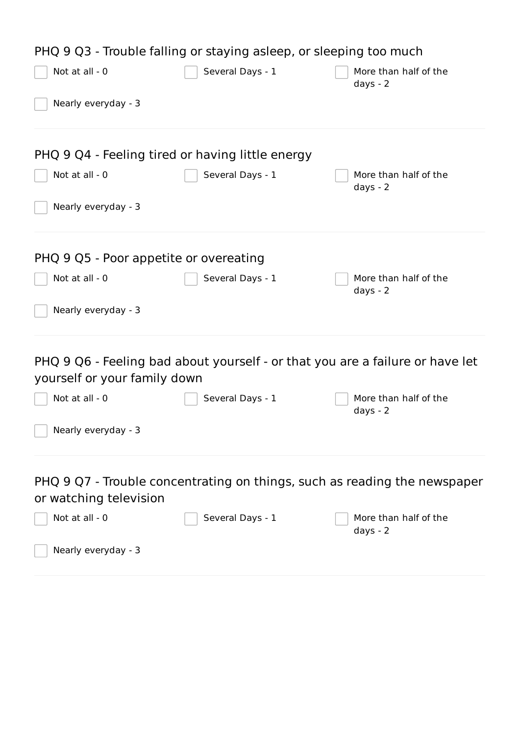| PHQ 9 Q3 - Trouble falling or staying asleep, or sleeping too much |                  |                                                                               |  |  |
|--------------------------------------------------------------------|------------------|-------------------------------------------------------------------------------|--|--|
| Not at all - 0                                                     | Several Days - 1 | More than half of the<br>days - $2$                                           |  |  |
| Nearly everyday - 3                                                |                  |                                                                               |  |  |
| PHQ 9 Q4 - Feeling tired or having little energy                   |                  |                                                                               |  |  |
| Not at all - 0                                                     | Several Days - 1 | More than half of the<br>days - $2$                                           |  |  |
| Nearly everyday - 3                                                |                  |                                                                               |  |  |
| PHQ 9 Q5 - Poor appetite or overeating                             |                  |                                                                               |  |  |
| Not at all - 0                                                     | Several Days - 1 | More than half of the<br>days - $2$                                           |  |  |
| Nearly everyday - 3                                                |                  |                                                                               |  |  |
| yourself or your family down                                       |                  | PHQ 9 Q6 - Feeling bad about yourself - or that you are a failure or have let |  |  |
| Not at all - 0                                                     | Several Days - 1 | More than half of the<br>days - $2$                                           |  |  |
| Nearly everyday - 3                                                |                  |                                                                               |  |  |
| or watching television                                             |                  | PHQ 9 Q7 - Trouble concentrating on things, such as reading the newspaper     |  |  |
| Not at all - 0                                                     | Several Days - 1 | More than half of the<br>days - $2$                                           |  |  |
| Nearly everyday - 3                                                |                  |                                                                               |  |  |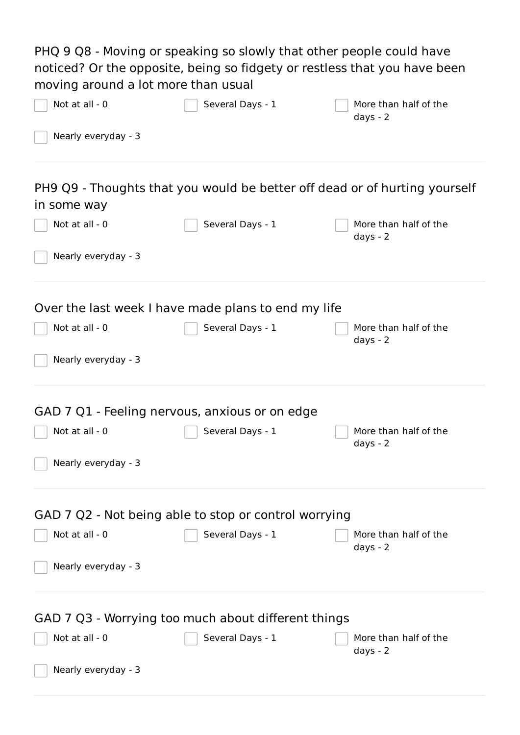PHQ 9 Q8 - Moving or speaking so slowly that other people could have noticed? Or the opposite, being so fidgety or restless that you have been moving around a lot more than usual

| Not at all - 0      | Several Days - 1                                      | More than half of the<br>days - $2$                                        |
|---------------------|-------------------------------------------------------|----------------------------------------------------------------------------|
| Nearly everyday - 3 |                                                       |                                                                            |
| in some way         |                                                       | PH9 Q9 - Thoughts that you would be better off dead or of hurting yourself |
| Not at all - 0      | Several Days - 1                                      | More than half of the<br>days - $2$                                        |
| Nearly everyday - 3 |                                                       |                                                                            |
|                     | Over the last week I have made plans to end my life   |                                                                            |
| Not at all - 0      | Several Days - 1                                      | More than half of the<br>days - $2$                                        |
| Nearly everyday - 3 |                                                       |                                                                            |
|                     | GAD 7 Q1 - Feeling nervous, anxious or on edge        |                                                                            |
| Not at all - 0      | Several Days - 1                                      | More than half of the<br>days - $2$                                        |
| Nearly everyday - 3 |                                                       |                                                                            |
|                     | GAD 7 Q2 - Not being able to stop or control worrying |                                                                            |
| Not at all - 0      | Several Days - 1                                      | More than half of the<br>days - $2$                                        |
| Nearly everyday - 3 |                                                       |                                                                            |
|                     | GAD 7 Q3 - Worrying too much about different things   |                                                                            |
| Not at all - 0      | Several Days - 1                                      | More than half of the<br>days - $2$                                        |
| Nearly everyday - 3 |                                                       |                                                                            |